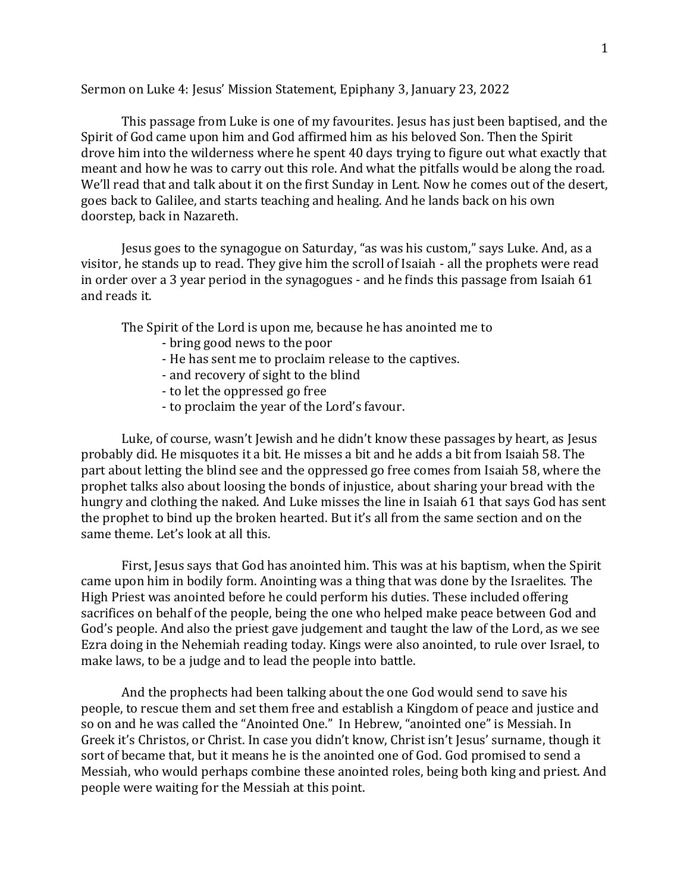Sermon on Luke 4: Jesus' Mission Statement, Epiphany 3, January 23, 2022

This passage from Luke is one of my favourites. Jesus has just been baptised, and the Spirit of God came upon him and God affirmed him as his beloved Son. Then the Spirit drove him into the wilderness where he spent 40 days trying to figure out what exactly that meant and how he was to carry out this role. And what the pitfalls would be along the road. We'll read that and talk about it on the first Sunday in Lent. Now he comes out of the desert, goes back to Galilee, and starts teaching and healing. And he lands back on his own doorstep, back in Nazareth.

Jesus goes to the synagogue on Saturday, "as was his custom," says Luke. And, as a visitor, he stands up to read. They give him the scroll of Isaiah - all the prophets were read in order over a 3 year period in the synagogues - and he finds this passage from Isaiah 61 and reads it.

The Spirit of the Lord is upon me, because he has anointed me to

- bring good news to the poor
- He has sent me to proclaim release to the captives.
- and recovery of sight to the blind
- to let the oppressed go free
- to proclaim the year of the Lord's favour.

Luke, of course, wasn't Jewish and he didn't know these passages by heart, as Jesus probably did. He misquotes it a bit. He misses a bit and he adds a bit from Isaiah 58. The part about letting the blind see and the oppressed go free comes from Isaiah 58, where the prophet talks also about loosing the bonds of injustice, about sharing your bread with the hungry and clothing the naked. And Luke misses the line in Isaiah 61 that says God has sent the prophet to bind up the broken hearted. But it's all from the same section and on the same theme. Let's look at all this.

First, Jesus says that God has anointed him. This was at his baptism, when the Spirit came upon him in bodily form. Anointing was a thing that was done by the Israelites. The High Priest was anointed before he could perform his duties. These included offering sacrifices on behalf of the people, being the one who helped make peace between God and God's people. And also the priest gave judgement and taught the law of the Lord, as we see Ezra doing in the Nehemiah reading today. Kings were also anointed, to rule over Israel, to make laws, to be a judge and to lead the people into battle.

And the prophects had been talking about the one God would send to save his people, to rescue them and set them free and establish a Kingdom of peace and justice and so on and he was called the "Anointed One." In Hebrew, "anointed one" is Messiah. In Greek it's Christos, or Christ. In case you didn't know, Christ isn't Jesus' surname, though it sort of became that, but it means he is the anointed one of God. God promised to send a Messiah, who would perhaps combine these anointed roles, being both king and priest. And people were waiting for the Messiah at this point.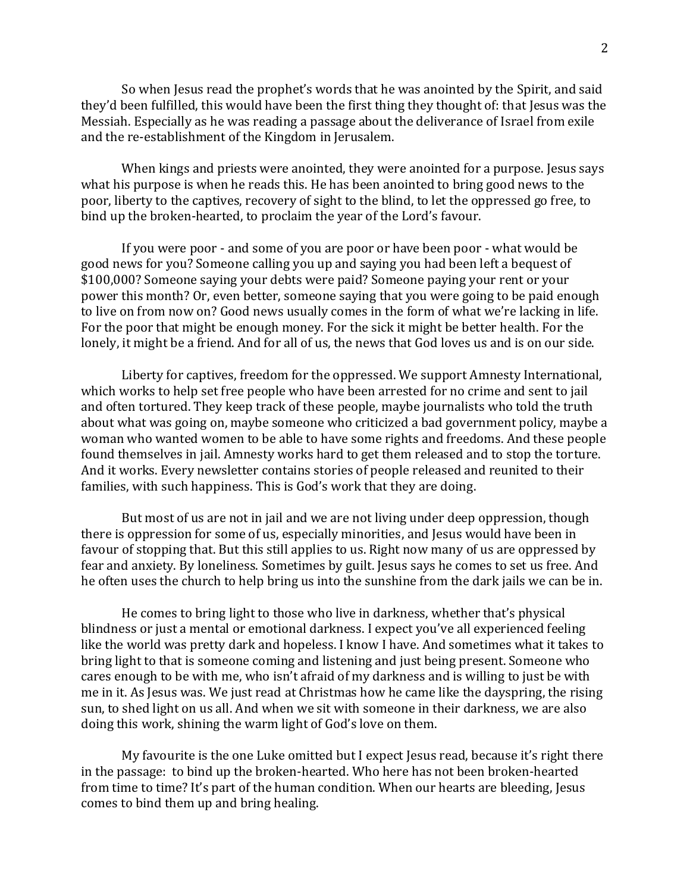So when Jesus read the prophet's words that he was anointed by the Spirit, and said they'd been fulfilled, this would have been the first thing they thought of: that Jesus was the Messiah. Especially as he was reading a passage about the deliverance of Israel from exile and the re-establishment of the Kingdom in Jerusalem.

When kings and priests were anointed, they were anointed for a purpose. Jesus says what his purpose is when he reads this. He has been anointed to bring good news to the poor, liberty to the captives, recovery of sight to the blind, to let the oppressed go free, to bind up the broken-hearted, to proclaim the year of the Lord's favour.

If you were poor - and some of you are poor or have been poor - what would be good news for you? Someone calling you up and saying you had been left a bequest of \$100,000? Someone saying your debts were paid? Someone paying your rent or your power this month? Or, even better, someone saying that you were going to be paid enough to live on from now on? Good news usually comes in the form of what we're lacking in life. For the poor that might be enough money. For the sick it might be better health. For the lonely, it might be a friend. And for all of us, the news that God loves us and is on our side.

Liberty for captives, freedom for the oppressed. We support Amnesty International, which works to help set free people who have been arrested for no crime and sent to jail and often tortured. They keep track of these people, maybe journalists who told the truth about what was going on, maybe someone who criticized a bad government policy, maybe a woman who wanted women to be able to have some rights and freedoms. And these people found themselves in jail. Amnesty works hard to get them released and to stop the torture. And it works. Every newsletter contains stories of people released and reunited to their families, with such happiness. This is God's work that they are doing.

But most of us are not in jail and we are not living under deep oppression, though there is oppression for some of us, especially minorities, and Jesus would have been in favour of stopping that. But this still applies to us. Right now many of us are oppressed by fear and anxiety. By loneliness. Sometimes by guilt. Jesus says he comes to set us free. And he often uses the church to help bring us into the sunshine from the dark jails we can be in.

He comes to bring light to those who live in darkness, whether that's physical blindness or just a mental or emotional darkness. I expect you've all experienced feeling like the world was pretty dark and hopeless. I know I have. And sometimes what it takes to bring light to that is someone coming and listening and just being present. Someone who cares enough to be with me, who isn't afraid of my darkness and is willing to just be with me in it. As Jesus was. We just read at Christmas how he came like the dayspring, the rising sun, to shed light on us all. And when we sit with someone in their darkness, we are also doing this work, shining the warm light of God's love on them.

My favourite is the one Luke omitted but I expect Jesus read, because it's right there in the passage: to bind up the broken-hearted. Who here has not been broken-hearted from time to time? It's part of the human condition. When our hearts are bleeding, Jesus comes to bind them up and bring healing.